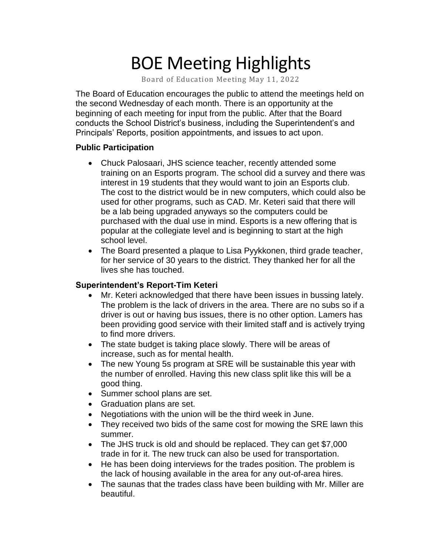# BOE Meeting Highlights

Board of Education Meeting May 11, 2022

 The Board of Education encourages the public to attend the meetings held on the second Wednesday of each month. There is an opportunity at the beginning of each meeting for input from the public. After that the Board conducts the School District's business, including the Superintendent's and Principals' Reports, position appointments, and issues to act upon.

#### **Public Participation**

- Chuck Palosaari, JHS science teacher, recently attended some training on an Esports program. The school did a survey and there was interest in 19 students that they would want to join an Esports club. The cost to the district would be in new computers, which could also be used for other programs, such as CAD. Mr. Keteri said that there will be a lab being upgraded anyways so the computers could be purchased with the dual use in mind. Esports is a new offering that is popular at the collegiate level and is beginning to start at the high school level.
- The Board presented a plaque to Lisa Pyykkonen, third grade teacher, for her service of 30 years to the district. They thanked her for all the lives she has touched.

### **Superintendent's Report-Tim Keteri**

- • Mr. Keteri acknowledged that there have been issues in bussing lately. The problem is the lack of drivers in the area. There are no subs so if a driver is out or having bus issues, there is no other option. Lamers has been providing good service with their limited staff and is actively trying to find more drivers.
- • The state budget is taking place slowly. There will be areas of increase, such as for mental health.
- • The new Young 5s program at SRE will be sustainable this year with the number of enrolled. Having this new class split like this will be a good thing.
- Summer school plans are set.
- Graduation plans are set.
- Negotiations with the union will be the third week in June.
- • They received two bids of the same cost for mowing the SRE lawn this summer.
- • The JHS truck is old and should be replaced. They can get \$7,000 trade in for it. The new truck can also be used for transportation.
- • He has been doing interviews for the trades position. The problem is the lack of housing available in the area for any out-of-area hires.
- • The saunas that the trades class have been building with Mr. Miller are beautiful.